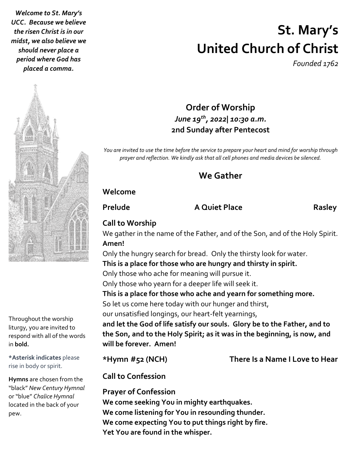*Welcome to St. Mary's UCC. Because we believe the risen Christ is in our midst, we also believe we should never place a period where God has placed a comma.*

# **St. Mary's United Church of Christ**

*Founded 1762*



Throughout the worship liturgy, you are invited to respond with all of the words in **bold.**

**\*Asterisk indicates** please rise in body or spirit.

**Hymns** are chosen from the "black" *New Century Hymnal* or "blue" *Chalice Hymnal* located in the back of your pew.

# **Order of Worship** *June 19 th , 2022| 10:30 a.m.* **2nd Sunday after Pentecost**

*You are invited to use the time before the service to prepare your heart and mind for worship through prayer and reflection. We kindly ask that all cell phones and media devices be silenced.*

# **We Gather**

## **Welcome**

**Prelude A Quiet Place Rasley** 

### **Call to Worship**

We gather in the name of the Father, and of the Son, and of the Holy Spirit. **Amen!**

Only the hungry search for bread. Only the thirsty look for water.

**This is a place for those who are hungry and thirsty in spirit.**

Only those who ache for meaning will pursue it.

Only those who yearn for a deeper life will seek it.

**This is a place for those who ache and yearn for something more.**

So let us come here today with our hunger and thirst,

our unsatisfied longings, our heart-felt yearnings,

**and let the God of life satisfy our souls. Glory be to the Father, and to the Son, and to the Holy Spirit; as it was in the beginning, is now, and will be forever. Amen!**

**\*Hymn #52 (NCH) There Is a Name I Love to Hear**

**Call to Confession**

**Prayer of Confession We come seeking You in mighty earthquakes. We come listening for You in resounding thunder. We come expecting You to put things right by fire. Yet You are found in the whisper.**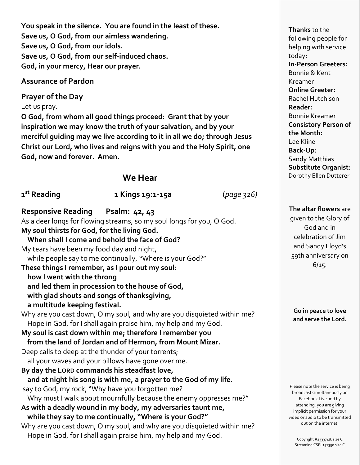**You speak in the silence. You are found in the least of these. Save us, O God, from our aimless wandering. Save us, O God, from our idols. Save us, O God, from our self-induced chaos. God, in your mercy, Hear our prayer.**

#### **Assurance of Pardon**

#### **Prayer of the Day**

Let us pray.

**O God, from whom all good things proceed: Grant that by your inspiration we may know the truth of your salvation, and by your merciful guiding may we live according to it in all we do; through Jesus Christ our Lord, who lives and reigns with you and the Holy Spirit, one God, now and forever. Amen.**

# **We Hear**

1<sup>st</sup> Reading **st Reading 1 Kings 19:1-15a** (*page 326)* **Responsive Reading Psalm: 42, 43** As a deer longs for flowing streams, so my soul longs for you, O God. **My soul thirsts for God, for the living God. When shall I come and behold the face of God?** My tears have been my food day and night, while people say to me continually, "Where is your God?" **These things I remember, as I pour out my soul: how I went with the throng and led them in procession to the house of God, with glad shouts and songs of thanksgiving, a multitude keeping festival.** Why are you cast down, O my soul, and why are you disquieted within me? Hope in God, for I shall again praise him, my help and my God. **My soul is cast down within me; therefore I remember you from the land of Jordan and of Hermon, from Mount Mizar.** Deep calls to deep at the thunder of your torrents; all your waves and your billows have gone over me. **By day the LORD commands his steadfast love, and at night his song is with me, a prayer to the God of my life.** say to God, my rock, "Why have you forgotten me? Why must I walk about mournfully because the enemy oppresses me?" **As with a deadly wound in my body, my adversaries taunt me, while they say to me continually, "Where is your God?"** Why are you cast down, O my soul, and why are you disquieted within me? Hope in God, for I shall again praise him, my help and my God.

**Thanks** to the following people for helping with service today: **In-Person Greeters:**  Bonnie & Kent Kreamer **Online Greeter:** Rachel Hutchison **Reader:** Bonnie Kreamer **Consistory Person of the Month:** Lee Kline **Back-Up:** Sandy Matthias **Substitute Organist:** Dorothy Ellen Dutterer

**The altar flowers** are given to the Glory of God and in celebration of Jim and Sandy Lloyd's 59th anniversary on  $6/15.$ 

**Go in peace to love and serve the Lord.**

Please note the service is being broadcast simultaneously on Facebook Live and by attending, you are giving implicit permission for your video or audio to be transmitted out on the internet.

> Copyright #2333748, size C Streaming CSPL151350 size C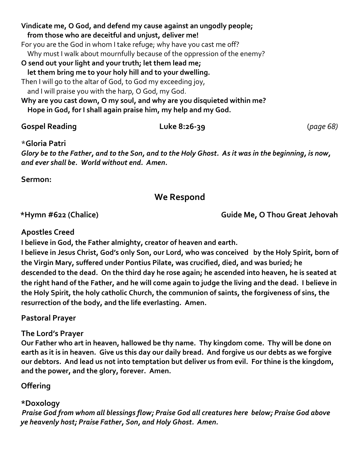**Vindicate me, O God, and defend my cause against an ungodly people; from those who are deceitful and unjust, deliver me!** For you are the God in whom I take refuge; why have you cast me off? Why must I walk about mournfully because of the oppression of the enemy? **O send out your light and your truth; let them lead me; let them bring me to your holy hill and to your dwelling.** Then I will go to the altar of God, to God my exceeding joy, and I will praise you with the harp, O God, my God. **Why are you cast down, O my soul, and why are you disquieted within me? Hope in God, for I shall again praise him, my help and my God.**

| <b>Gospel Reading</b> | Luke 8:26-39 | (page 68) |
|-----------------------|--------------|-----------|
|                       |              |           |

\***Gloria Patri**

Glory be to the Father, and to the Son, and to the Holy Ghost. As it was in the beginning, is now, *and ever shall be. World without end. Amen.*

**Sermon:** 

# **We Respond**

**\*Hymn #622 (Chalice) Guide Me, O Thou Great Jehovah**

#### **Apostles Creed**

**I believe in God, the Father almighty, creator of heaven and earth.**

**I believe in Jesus Christ, God's only Son, our Lord, who was conceived by the Holy Spirit, born of the Virgin Mary, suffered under Pontius Pilate, was crucified, died, and was buried; he descended to the dead. On the third day he rose again; he ascended into heaven, he is seated at the right hand of the Father, and he will come again to judge the living and the dead. I believe in the Holy Spirit, the holy catholic Church, the communion of saints, the forgiveness of sins, the resurrection of the body, and the life everlasting. Amen.**

## **Pastoral Prayer**

## **The Lord's Prayer**

**Our Father who art in heaven, hallowed be thy name. Thy kingdom come. Thy will be done on** earth as it is in heaven. Give us this day our daily bread. And forgive us our debts as we forgive **our debtors. And lead us not into temptation but deliver us from evil. For thine is the kingdom, and the power, and the glory, forever. Amen.**

# **Offering**

# **\*Doxology**

 *Praise God from whom all blessings flow; Praise God all creatures here below; Praise God above ye heavenly host; Praise Father, Son, and Holy Ghost. Amen.*